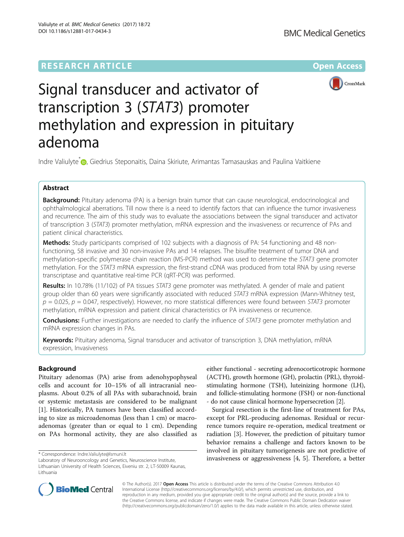## **RESEARCH ARTICLE External Structure Community Community Community Community Community Community Community Community**



# Signal transducer and activator of transcription 3 (STAT3) promoter methylation and expression in pituitary adenoma

Indre Valiulyte<sup>\*</sup> <sub>(b</sub>[,](http://orcid.org/0000-0002-0122-305X) Giedrius Steponaitis, Daina Skiriute, Arimantas Tamasauskas and Paulina Vaitkiene

## Abstract

Background: Pituitary adenoma (PA) is a benign brain tumor that can cause neurological, endocrinological and ophthalmological aberrations. Till now there is a need to identify factors that can influence the tumor invasiveness and recurrence. The aim of this study was to evaluate the associations between the signal transducer and activator of transcription 3 (STAT3) promoter methylation, mRNA expression and the invasiveness or recurrence of PAs and patient clinical characteristics.

**Methods:** Study participants comprised of 102 subjects with a diagnosis of PA: 54 functioning and 48 nonfunctioning, 58 invasive and 30 non-invasive PAs and 14 relapses. The bisulfite treatment of tumor DNA and methylation-specific polymerase chain reaction (MS-PCR) method was used to determine the STAT3 gene promoter methylation. For the STAT3 mRNA expression, the first-strand cDNA was produced from total RNA by using reverse transcriptase and quantitative real-time PCR (qRT-PCR) was performed.

Results: In 10.78% (11/102) of PA tissues STAT3 gene promoter was methylated. A gender of male and patient group older than 60 years were significantly associated with reduced STAT3 mRNA expression (Mann-Whitney test,  $p = 0.025$ ,  $p = 0.047$ , respectively). However, no more statistical differences were found between STAT3 promoter methylation, mRNA expression and patient clinical characteristics or PA invasiveness or recurrence.

**Conclusions:** Further investigations are needed to clarify the influence of STAT3 gene promoter methylation and mRNA expression changes in PAs.

Keywords: Pituitary adenoma, Signal transducer and activator of transcription 3, DNA methylation, mRNA expression, Invasiveness

## Background

Pituitary adenomas (PA) arise from adenohypophyseal cells and account for 10–15% of all intracranial neoplasms. About 0.2% of all PAs with subarachnoid, brain or systemic metastasis are considered to be malignant [[1\]](#page-6-0). Historically, PA tumors have been classified according to size as microadenomas (less than 1 cm) or macroadenomas (greater than or equal to 1 cm). Depending on PAs hormonal activity, they are also classified as

Laboratory of Neurooncology and Genetics, Neuroscience Institute, Lithuanian University of Health Sciences, Eiveniu str. 2, LT-50009 Kaunas, Lithuania

either functional - secreting adrenocorticotropic hormone (ACTH), growth hormone (GH), prolactin (PRL), thyroidstimulating hormone (TSH), luteinizing hormone (LH), and follicle-stimulating hormone (FSH) or non-functional - do not cause clinical hormone hypersecretion [[2\]](#page-6-0).

Surgical resection is the first-line of treatment for PAs, except for PRL-producing adenomas. Residual or recurrence tumors require re-operation, medical treatment or radiation [[3\]](#page-6-0). However, the prediction of pituitary tumor behavior remains a challenge and factors known to be involved in pituitary tumorigenesis are not predictive of \* Correspondence: Indre.Valiulyte@Ismuni.lt<br>Laboratory of Neurooncology and Genetics. Neuroscience Institute. **invasiveness or aggressiveness** [[4, 5](#page-6-0)]. Therefore, a better



© The Author(s). 2017 Open Access This article is distributed under the terms of the Creative Commons Attribution 4.0 International License [\(http://creativecommons.org/licenses/by/4.0/](http://creativecommons.org/licenses/by/4.0/)), which permits unrestricted use, distribution, and reproduction in any medium, provided you give appropriate credit to the original author(s) and the source, provide a link to the Creative Commons license, and indicate if changes were made. The Creative Commons Public Domain Dedication waiver [\(http://creativecommons.org/publicdomain/zero/1.0/](http://creativecommons.org/publicdomain/zero/1.0/)) applies to the data made available in this article, unless otherwise stated.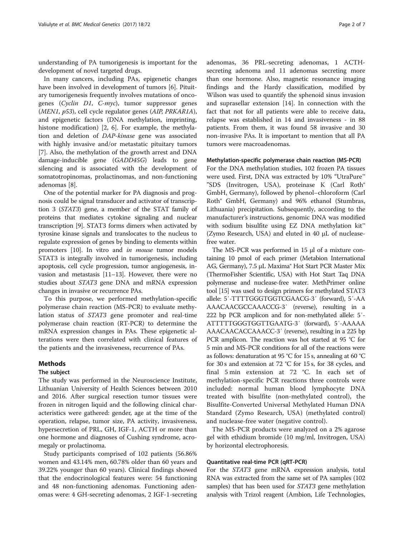understanding of PA tumorigenesis is important for the development of novel targeted drugs.

In many cancers, including PAs, epigenetic changes have been involved in development of tumors [[6](#page-6-0)]. Pituitary tumorigenesis frequently involves mutations of oncogenes (Cyclin D1, C-myc), tumor suppressor genes (MEN1, p53), cell cycle regulator genes (AIP, PRKAR1A), and epigenetic factors (DNA methylation, imprinting, histone modification) [[2, 6](#page-6-0)]. For example, the methylation and deletion of DAP-kinase gene was associated with highly invasive and/or metastatic pituitary tumors [[7\]](#page-6-0). Also, the methylation of the growth arrest and DNA damage-inducible gene (GADD45G) leads to gene silencing and is associated with the development of somatotropinomas, prolactinomas, and non-functioning adenomas [[8\]](#page-6-0).

One of the potential marker for PA diagnosis and prognosis could be signal transducer and activator of transcription 3 (STAT3) gene, a member of the STAT family of proteins that mediates cytokine signaling and nuclear transcription [[9](#page-6-0)]. STAT3 forms dimers when activated by tyrosine kinase signals and translocates to the nucleus to regulate expression of genes by binding to elements within promoters [\[10\]](#page-6-0). In vitro and *in mouse* tumor models STAT3 is integrally involved in tumorigenesis, including apoptosis, cell cycle progression, tumor angiogenesis, invasion and metastasis [[11](#page-6-0)–[13\]](#page-6-0). However, there were no studies about STAT3 gene DNA and mRNA expression changes in invasive or recurrence PAs.

To this purpose, we performed methylation-specific polymerase chain reaction (MS-PCR) to evaluate methylation status of STAT3 gene promoter and real-time polymerase chain reaction (RT-PCR) to determine the mRNA expression changes in PAs. These epigenetic alterations were then correlated with clinical features of the patients and the invasiveness, recurrence of PAs.

## Methods

## The subject

The study was performed in the Neuroscience Institute, Lithuanian University of Health Sciences between 2010 and 2016. After surgical resection tumor tissues were frozen in nitrogen liquid and the following clinical characteristics were gathered: gender, age at the time of the operation, relapse, tumor size, PA activity, invasiveness, hypersecretion of PRL, GH, IGF-1, ACTH or more than one hormone and diagnoses of Cushing syndrome, acromegaly or prolactinoma.

Study participants comprised of 102 patients (56.86% women and 43.14% men, 60.78% older than 60 years and 39.22% younger than 60 years). Clinical findings showed that the endocrinological features were: 54 functioning and 48 non-functioning adenomas. Functioning adenomas were: 4 GH-secreting adenomas, 2 IGF-1-secreting

adenomas, 36 PRL-secreting adenomas, 1 ACTHsecreting adenoma and 11 adenomas secreting more than one hormone. Also, magnetic resonance imaging findings and the Hardy classification, modified by Wilson was used to quantify the sphenoid sinus invasion and suprasellar extension [[14\]](#page-6-0). In connection with the fact that not for all patients were able to receive data, relapse was established in 14 and invasiveness - in 88 patients. From them, it was found 58 invasive and 30 non-invasive PAs. It is important to mention that all PA tumors were macroadenomas.

#### Methylation-specific polymerase chain reaction (MS-PCR)

For the DNA methylation studies, 102 frozen PA tissues were used. First, DNA was extracted by 10% "UtraPure™ "SDS (Invitrogen, USA), proteinase K (Carl Roth® GmbH, Germany), followed by phenol–chloroform (Carl Roth® GmbH, Germany) and 96% ethanol (Stumbras, Lithuania) precipitation. Subsequently, according to the manufacturer's instructions, genomic DNA was modified with sodium bisulfite using EZ DNA methylation kit<sup>™</sup> (Zymo Research, USA) and eluted in 40 μL of nucleasefree water.

The MS-PCR was performed in 15 μl of a mixture containing 10 pmol of each primer (Metabion International AG, Germany), 7.5 μL Maxima® Hot Start PCR Master Mix (ThermoFisher Scientific, USA) with Hot Start Taq DNA polymerase and nuclease-free water. MethPrimer online tool [[15](#page-6-0)] was used to design primers for methylated STAT3 allele: 5′-TTTTGGGTGGTCGAACG-3′ (forward), 5′-AA AAACAACGCCAAACCG-3′ (reverse), resulting in a 222 bp PCR amplicon and for non-methylated allele: 5′- ATTTTTGGGTGGTTGAATG-3′ (forward), 5′-AAAAA AAACAACACCAAACC-3′ (reverse), resulting in a 225 bp PCR amplicon. The reaction was hot started at 95 °C for 5 min and MS-PCR conditions for all of the reactions were as follows: denaturation at 95 °C for 15 s, annealing at 60 °C for 30 s and extension at 72 °C for 15 s, for 38 cycles, and final 5 min extension at 72 °C. In each set of methylation-specific PCR reactions three controls were included: normal human blood lymphocyte DNA treated with bisulfite (non-methylated control), the Bisulfite-Converted Universal Methylated Human DNA Standard (Zymo Research, USA) (methylated control) and nuclease-free water (negative control).

The MS-PCR products were analyzed on a 2% agarose gel with ethidium bromide (10 mg/ml, Invitrogen, USA) by horizontal electrophoresis.

## Quantitative real-time PCR (qRT-PCR)

For the STAT3 gene mRNA expression analysis, total RNA was extracted from the same set of PA samples (102 samples) that has been used for *STAT3* gene methylation analysis with Trizol reagent (Ambion, Life Technologies,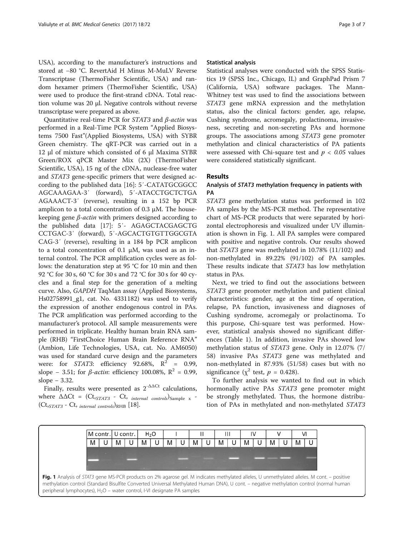USA), according to the manufacturer's instructions and stored at −80 °C. RevertAid H Minus M-MuLV Reverse Transcriptase (ThermoFisher Scientific, USA) and random hexamer primers (ThermoFisher Scientific, USA) were used to produce the first-strand cDNA. Total reaction volume was 20 μl. Negative controls without reverse transcriptase were prepared as above.

Quantitative real-time PCR for STAT3 and β-actin was performed in a Real-Time PCR System "Applied Biosystems 7500 Fast"(Applied Biosystems, USA) with SYBR Green chemistry. The qRT-PCR was carried out in a 12 μl of mixture which consisted of 6 μl Maxima SYBR Green/ROX qPCR Master Mix (2X) (ThermoFisher Scientific, USA), 15 ng of the cDNA, nuclease-free water and STAT3 gene-specific primers that were designed according to the published data [[16](#page-6-0)]: 5′-CATATGCGGCC AGCAAAGAA-3′ (forward), 5′-ATACCTGCTCTGA AGAAACT-3′ (reverse), resulting in a 152 bp PCR amplicon to a total concentration of 0.3 μM. The housekeeping gene  $β$ -actin with primers designed according to the published data [\[17](#page-6-0)]: 5′- AGAGCTACGAGCTG CCTGAC-3′ (forward), 5′-AGCACTGTGTTGGCGTA CAG-3′ (reverse), resulting in a 184 bp PCR amplicon to a total concentration of 0.1 μM, was used as an internal control. The PCR amplification cycles were as follows: the denaturation step at 95 °C for 10 min and then 92 °C for 30 s, 60 °C for 30 s and 72 °C for 30 s for 40 cycles and a final step for the generation of a melting curve. Also, GAPDH TaqMan assay (Applied Biosystems, Hs02758991\_g1, cat. No. 4331182) was used to verify the expression of another endogenous control in PAs. The PCR amplification was performed according to the manufacturer's protocol. All sample measurements were performed in triplicate. Healthy human brain RNA sample (RHB) "FirstChoice Human Brain Reference RNA" (Ambion, Life Technologies, USA, cat. No. AM6050) was used for standard curve design and the parameters were: for *STAT3*: efficiency 92.68%,  $R^2 = 0.99$ , slope – 3.51; for *β-actin*: efficiency 100.08%,  $R^2 = 0.99$ , slope − 3.32.

Finally, results were presented as  $2^{-\Delta\Delta Ct}$  calculations, where  $\Delta \Delta \text{C}t = (\text{C}t_{sTAT3} - \text{C}t_{sTAT4} - \text{C}t_{sTAT4} - \text{C}t_{sTAT4} - \text{C}t_{sTAT4} - \text{C}t_{sTAT4} - \text{C}t_{sTAT4} - \text{C}t_{sTAT4} - \text{C}t_{sTAT4} - \text{C}t_{sTAT4} - \text{C}t_{sTAT4} - \text{C}t_{sTAT4} - \text{C}t_{sTAT4} - \text{C}t_{sTAT4} - \text{C}t_{sTAT4} - \text{C}t_{s$  $(Ct_{sSTAT3} - Ct_{initial\ controls})_{RHB}$  [[18\]](#page-6-0).

#### Statistical analysis

Statistical analyses were conducted with the SPSS Statistics 19 (SPSS Inc., Chicago, IL) and GraphPad Prism 7 (California, USA) software packages. The Mann-Whitney test was used to find the associations between STAT3 gene mRNA expression and the methylation status, also the clinical factors: gender, age, relapse, Cushing syndrome, acromegaly, prolactinoma, invasiveness, secreting and non-secreting PAs and hormone groups. The associations among STAT3 gene promoter methylation and clinical characteristics of PA patients were assessed with Chi-square test and  $p < 0.05$  values were considered statistically significant.

## Results

## Analysis of STAT3 methylation frequency in patients with PA

STAT3 gene methylation status was performed in 102 PA samples by the MS-PCR method. The representative chart of MS-PCR products that were separated by horizontal electrophoresis and visualized under UV illumination is shown in Fig. 1. All PA samples were compared with positive and negative controls. Our results showed that STAT3 gene was methylated in 10.78% (11/102) and non-methylated in 89.22% (91/102) of PA samples. These results indicate that STAT3 has low methylation status in PAs.

Next, we tried to find out the associations between STAT3 gene promoter methylation and patient clinical characteristics: gender, age at the time of operation, relapse, PA function, invasiveness and diagnoses of Cushing syndrome, acromegaly or prolactinoma. To this purpose, Chi-square test was performed. However, statistical analysis showed no significant differences (Table [1](#page-3-0)). In addition, invasive PAs showed low methylation status of STAT3 gene. Only in 12.07% (7/ 58) invasive PAs STAT3 gene was methylated and non-methylated in 87.93% (51/58) cases but with no significance ( $\chi^2$  test,  $p = 0.428$ ).

To further analysis we wanted to find out in which hormonally active PAs STAT3 gene promoter might be strongly methylated. Thus, the hormone distribution of PAs in methylated and non-methylated STAT3

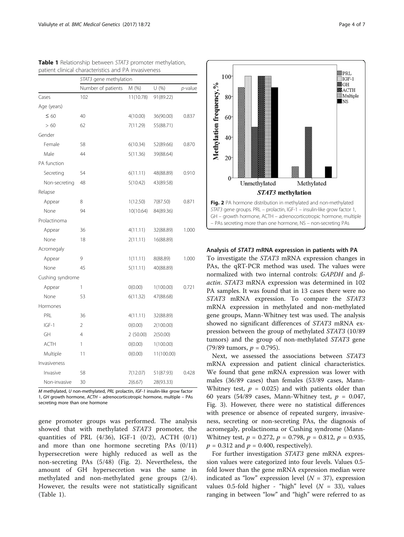|                  | STAT3 gene methylation |           |            |                 |
|------------------|------------------------|-----------|------------|-----------------|
|                  | Number of patients     | M (%)     | U(%)       | <i>p</i> -value |
| Cases            | 102                    | 11(10.78) | 91(89.22)  |                 |
| Age (years)      |                        |           |            |                 |
| $\leq 60$        | 40                     | 4(10.00)  | 36(90.00)  | 0.837           |
| > 60             | 62                     | 7(11.29)  | 55(88.71)  |                 |
| Gender           |                        |           |            |                 |
| Female           | 58                     | 6(10.34)  | 52(89.66)  | 0.870           |
| Male             | 44                     | 5(11.36)  | 39(88.64)  |                 |
| PA function      |                        |           |            |                 |
| Secreting        | 54                     | 6(11.11)  | 48(88.89)  | 0.910           |
| Non-secreting    | 48                     | 5(10.42)  | 43(89.58)  |                 |
| Relapse          |                        |           |            |                 |
| Appear           | 8                      | 1(12.50)  | 7(87.50)   | 0.871           |
| None             | 94                     | 10(10.64) | 84(89.36)  |                 |
| Prolactinoma     |                        |           |            |                 |
| Appear           | 36                     | 4(11.11)  | 32(88.89)  | 1.000           |
| None             | 18                     | 2(11.11)  | 16(88.89)  |                 |
| Acromegaly       |                        |           |            |                 |
| Appear           | 9                      | 1(11.11)  | 8(88.89)   | 1.000           |
| None             | 45                     | 5(11.11)  | 40(88.89)  |                 |
| Cushing syndrome |                        |           |            |                 |
| Appear           | 1                      | O(0.00)   | 1(100.00)  | 0.721           |
| None             | 53                     | 6(11.32)  | 47(88.68)  |                 |
| Hormones         |                        |           |            |                 |
| PRL              | 36                     | 4(11.11)  | 32(88.89)  |                 |
| $IGF-1$          | $\overline{2}$         | O(0.00)   | 2(100.00)  |                 |
| GH               | 4                      | 2(50.00)  | 2(50.00)   |                 |
| <b>ACTH</b>      | 1                      | O(0.00)   | 1(100.00)  |                 |
| Multiple         | 11                     | 0(0.00)   | 11(100.00) |                 |
| Invasiveness     |                        |           |            |                 |
| Invasive         | 58                     | 7(12.07)  | 51(87.93)  | 0.428           |
| Non-invasive     | 30                     | 2(6.67)   | 28(93.33)  |                 |

<span id="page-3-0"></span>Table 1 Relationship between STAT3 promoter methylation, patient clinical characteristics and PA invasiveness

M methylated, U non-methylated, PRL prolactin, IGF-1 insulin-like grow factor 1, GH growth hormone, ACTH – adrenocorticotropic hormone, multiple – PAs secreting more than one hormone

gene promoter groups was performed. The analysis showed that with methylated STAT3 promoter, the quantities of PRL  $(4/36)$ , IGF-1  $(0/2)$ , ACTH  $(0/1)$ and more than one hormone secreting PAs (0/11) hypersecretion were highly reduced as well as the non-secreting PAs (5/48) (Fig. 2). Nevertheless, the amount of GH hypersecretion was the same in methylated and non-methylated gene groups (2/4). However, the results were not statistically significant (Table 1).





## Analysis of STAT3 mRNA expression in patients with PA

To investigate the STAT3 mRNA expression changes in PAs, the qRT-PCR method was used. The values were normalized with two internal controls: GAPDH and βactin. STAT3 mRNA expression was determined in 102 PA samples. It was found that in 13 cases there were no STAT3 mRNA expression. To compare the STAT3 mRNA expression in methylated and non-methylated gene groups, Mann-Whitney test was used. The analysis showed no significant differences of STAT3 mRNA expression between the group of methylated STAT3 (10/89 tumors) and the group of non-methylated STAT3 gene (79/89 tumors,  $p = 0.795$ ).

Next, we assessed the associations between STAT3 mRNA expression and patient clinical characteristics. We found that gene mRNA expression was lower with males (36/89 cases) than females (53/89 cases, Mann-Whitney test,  $p = 0.025$ ) and with patients older than 60 years (54/89 cases, Mann-Whitney test,  $p = 0.047$ , Fig. [3\)](#page-4-0). However, there were no statistical differences with presence or absence of repeated surgery, invasiveness, secreting or non-secreting PAs, the diagnosis of acromegaly, prolactinoma or Cushing syndrome (Mann-Whitney test,  $p = 0.272$ ,  $p = 0.798$ ,  $p = 0.812$ ,  $p = 0.935$ ,  $p = 0.312$  and  $p = 0.400$ , respectively).

For further investigation STAT3 gene mRNA expression values were categorized into four levels. Values 0.5 fold lower than the gene mRNA expression median were indicated as "low" expression level  $(N = 37)$ , expression values 0.5-fold higher - "high" level  $(N = 33)$ , values ranging in between "low" and "high" were referred to as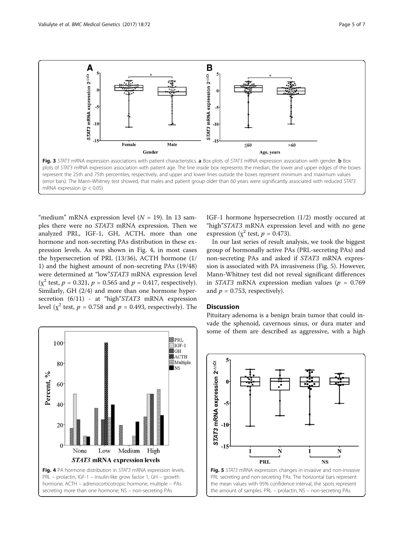<span id="page-4-0"></span>

"medium" mRNA expression level  $(N = 19)$ . In 13 samples there were no STAT3 mRNA expression. Then we analyzed PRL, IGF-1, GH, ACTH, more than one hormone and non-secreting PAs distribution in these expression levels. As was shown in Fig. 4, in most cases the hypersecretion of PRL (13/36), ACTH hormone (1/ 1) and the highest amount of non-secreting PAs (19/48) were determined at "low"STAT3 mRNA expression level  $(y^2 \text{ test}, p = 0.321, p = 0.565 \text{ and } p = 0.417, \text{ respectively}).$ Similarly, GH (2/4) and more than one hormone hypersecretion  $(6/11)$  - at "high"  $STAT3$  mRNA expression level ( $\chi^2$  test,  $p = 0.758$  and  $p = 0.493$ , respectively). The



IGF-1 hormone hypersecretion (1/2) mostly occured at "high"STAT3 mRNA expression level and with no gene expression ( $\chi^2$  test,  $p = 0.473$ ).

In our last series of result analysis, we took the biggest group of hormonally active PAs (PRL-secreting PAs) and non-secreting PAs and asked if STAT3 mRNA expression is associated with PA invasiveness (Fig. 5). However, Mann-Whitney test did not reveal significant differences in STAT3 mRNA expression median values ( $p = 0.769$ ) and  $p = 0.753$ , respectively).

## Discussion

Pituitary adenoma is a benign brain tumor that could invade the sphenoid, cavernous sinus, or dura mater and some of them are described as aggressive, with a high



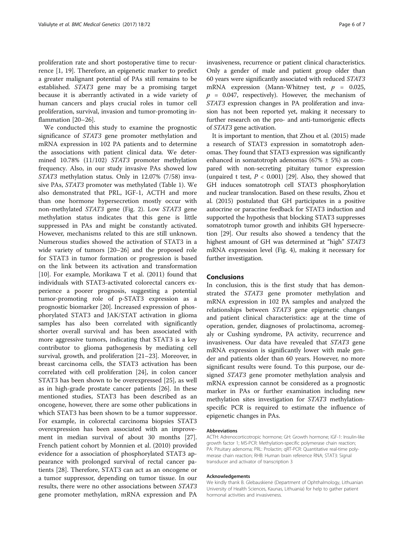proliferation rate and short postoperative time to recurrence [\[1](#page-6-0), [19\]](#page-6-0). Therefore, an epigenetic marker to predict a greater malignant potential of PAs still remains to be established. STAT3 gene may be a promising target because it is aberrantly activated in a wide variety of human cancers and plays crucial roles in tumor cell proliferation, survival, invasion and tumor-promoting inflammation [[20](#page-6-0)–[26](#page-6-0)].

We conducted this study to examine the prognostic significance of STAT3 gene promoter methylation and mRNA expression in 102 PA patients and to determine the associations with patient clinical data. We determined 10.78% (11/102) STAT3 promoter methylation frequency. Also, in our study invasive PAs showed low STAT3 methylation status. Only in 12.07% (7/58) invasive PAs, STAT3 promoter was methylated (Table [1\)](#page-3-0). We also demonstrated that PRL, IGF-1, ACTH and more than one hormone hypersecretion mostly occur with non-methylated STAT3 gene (Fig. [2](#page-3-0)). Low STAT3 gene methylation status indicates that this gene is little suppressed in PAs and might be constantly activated. However, mechanisms related to this are still unknown. Numerous studies showed the activation of STAT3 in a wide variety of tumors [[20](#page-6-0)–[26](#page-6-0)] and the proposed role for STAT3 in tumor formation or progression is based on the link between its activation and transformation [[10\]](#page-6-0). For example, Morikawa T et al. (2011) found that individuals with STAT3-activated colorectal cancers experience a poorer prognosis, suggesting a potential tumor-promoting role of p-STAT3 expression as a prognostic biomarker [[20\]](#page-6-0). Increased expression of phosphorylated STAT3 and JAK/STAT activation in glioma samples has also been correlated with significantly shorter overall survival and has been associated with more aggressive tumors, indicating that STAT3 is a key contributor to glioma pathogenesis by mediating cell survival, growth, and proliferation [[21](#page-6-0)–[23](#page-6-0)]. Moreover, in breast carcinoma cells, the STAT3 activation has been correlated with cell proliferation [\[24](#page-6-0)], in colon cancer STAT3 has been shown to be overexpressed [[25](#page-6-0)], as well as in high-grade prostate cancer patients [\[26\]](#page-6-0). In these mentioned studies, STAT3 has been described as an oncogene, however, there are some other publications in which STAT3 has been shown to be a tumor suppressor. For example, in colorectal carcinoma biopsies STAT3 overexpression has been associated with an improvement in median survival of about 30 months [\[27](#page-6-0)]. French patient cohort by Monnien et al. (2010) provided evidence for a association of phosphorylated STAT3 appearance with prolonged survival of rectal cancer patients [[28\]](#page-6-0). Therefore, STAT3 can act as an oncogene or a tumor suppressor, depending on tumor tissue. In our results, there were no other associations between STAT3 gene promoter methylation, mRNA expression and PA invasiveness, recurrence or patient clinical characteristics. Only a gender of male and patient group older than 60 years were significantly associated with reduced STAT3 mRNA expression (Mann-Whitney test,  $p = 0.025$ ,  $p = 0.047$ , respectively). However, the mechanism of STAT3 expression changes in PA proliferation and invasion has not been reported yet, making it necessary to further research on the pro- and anti-tumorigenic effects of STAT3 gene activation.

It is important to mention, that Zhou et al. (2015) made a research of STAT3 expression in somatotroph adenomas. They found that STAT3 expression was significantly enhanced in somatotroph adenomas  $(67\% \pm 5\%)$  as compared with non-secreting pituitary tumor expression (unpaired t test,  $P < 0.001$ ) [[29](#page-6-0)]. Also, they showed that GH induces somatotroph cell STAT3 phosphorylation and nuclear translocation. Based on these results, Zhou et al. (2015) postulated that GH participates in a positive autocrine or paracrine feedback for STAT3 induction and supported the hypothesis that blocking STAT3 suppresses somatotroph tumor growth and inhibits GH hypersecretion [\[29](#page-6-0)]. Our results also showed a tendency that the highest amount of GH was determined at "high" STAT3 mRNA expression level (Fig. [4](#page-4-0)), making it necessary for further investigation.

## Conclusions

In conclusion, this is the first study that has demonstrated the STAT3 gene promoter methylation and mRNA expression in 102 PA samples and analyzed the relationships between STAT3 gene epigenetic changes and patient clinical characteristics: age at the time of operation, gender, diagnoses of prolactinoma, acromegaly or Cushing syndrome, PA activity, recurrence and invasiveness. Our data have revealed that STAT3 gene mRNA expression is significantly lower with male gender and patients older than 60 years. However, no more significant results were found. To this purpose, our designed STAT3 gene promoter methylation analysis and mRNA expression cannot be considered as a prognostic marker in PAs or further examination including new methylation sites investigation for STAT3 methylationspecific PCR is required to estimate the influence of epigenetic changes in PAs.

#### Abbreviations

ACTH: Adrenocorticotropic hormone; GH: Growth hormone; IGF-1: Insulin-like growth factor 1; MS-PCR: Methylation-specific polymerase chain reaction; PA: Pituitary adenoma; PRL: Prolactin; qRT-PCR: Quantitative real-time polymerase chain reaction; RHB: Human brain reference RNA; STAT3: Signal transducer and activator of transcription 3

#### Acknowledgements

We kindly thank B. Glebauskienė (Department of Ophthalmology, Lithuanian University of Health Sciences, Kaunas, Lithuania) for help to gather patient hormonal activities and invasiveness.